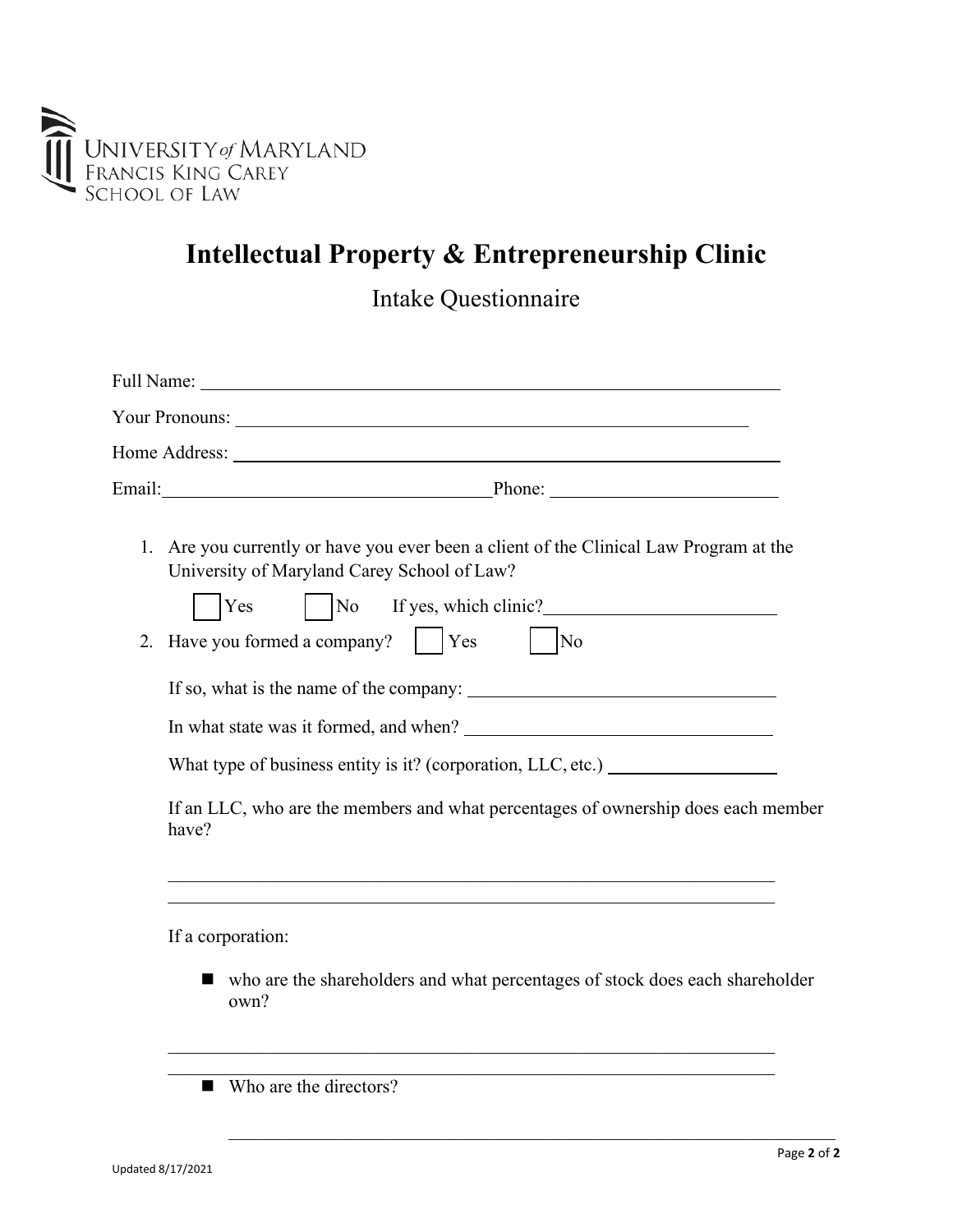

## **Intellectual Property & Entrepreneurship Clinic**

Intake Questionnaire

|    | Email: Phone: Phone: Phone: Phone: Phone: Phone: Phone: Phone: Phone: Phone: Phone: Phone: Phone: Phone: Phone: Phone: Phone: Phone: Phone: Phone: Phone: Phone: Phone: Phone: Phone: Phone: Phone: Phone: Phone: Phone: Phone |
|----|--------------------------------------------------------------------------------------------------------------------------------------------------------------------------------------------------------------------------------|
|    | 1. Are you currently or have you ever been a client of the Clinical Law Program at the<br>University of Maryland Carey School of Law?                                                                                          |
| 2. | $\vert$ $\vert$ No If yes, which clinic?<br>Yes<br>$ $ Yes<br>$\overline{\rm No}$<br>Have you formed a company?                                                                                                                |
|    |                                                                                                                                                                                                                                |
|    |                                                                                                                                                                                                                                |
|    | What type of business entity is it? (corporation, LLC, etc.) ___________________                                                                                                                                               |
|    | If an LLC, who are the members and what percentages of ownership does each member<br>have?                                                                                                                                     |
|    | If a corporation:                                                                                                                                                                                                              |
|    | • who are the shareholders and what percentages of stock does each shareholder<br>own?                                                                                                                                         |
|    | $\blacksquare$ Who are the directors?                                                                                                                                                                                          |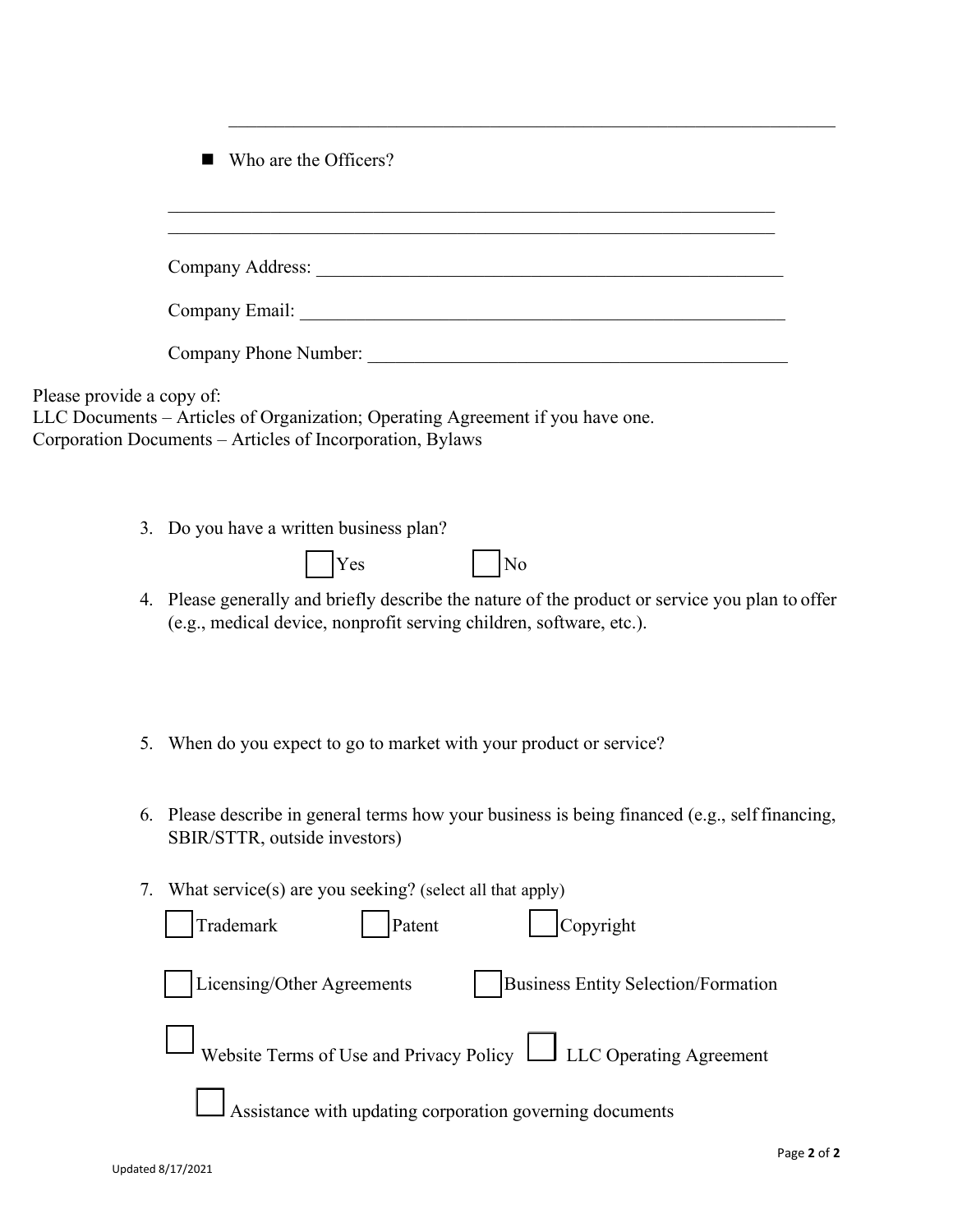$W$ ho are the Officers?

|                           | WHO are the OTHER'S!                                                                                                                                                   |
|---------------------------|------------------------------------------------------------------------------------------------------------------------------------------------------------------------|
|                           |                                                                                                                                                                        |
|                           |                                                                                                                                                                        |
|                           |                                                                                                                                                                        |
|                           |                                                                                                                                                                        |
| Please provide a copy of: | LLC Documents - Articles of Organization; Operating Agreement if you have one.<br>Corporation Documents - Articles of Incorporation, Bylaws                            |
|                           | 3. Do you have a written business plan?<br>$ $ Yes<br> No                                                                                                              |
|                           | 4. Please generally and briefly describe the nature of the product or service you plan to offer<br>(e.g., medical device, nonprofit serving children, software, etc.). |
| 5.                        | When do you expect to go to market with your product or service?                                                                                                       |
|                           | 6. Please describe in general terms how your business is being financed (e.g., self financing,<br>SBIR/STTR, outside investors)                                        |
| 7.                        | What service(s) are you seeking? (select all that apply)<br>Trademark<br>Copyright<br>Patent                                                                           |
|                           | Licensing/Other Agreements<br><b>Business Entity Selection/Formation</b>                                                                                               |
|                           | Website Terms of Use and Privacy Policy   LLC Operating Agreement                                                                                                      |
|                           | Assistance with updating corporation governing documents                                                                                                               |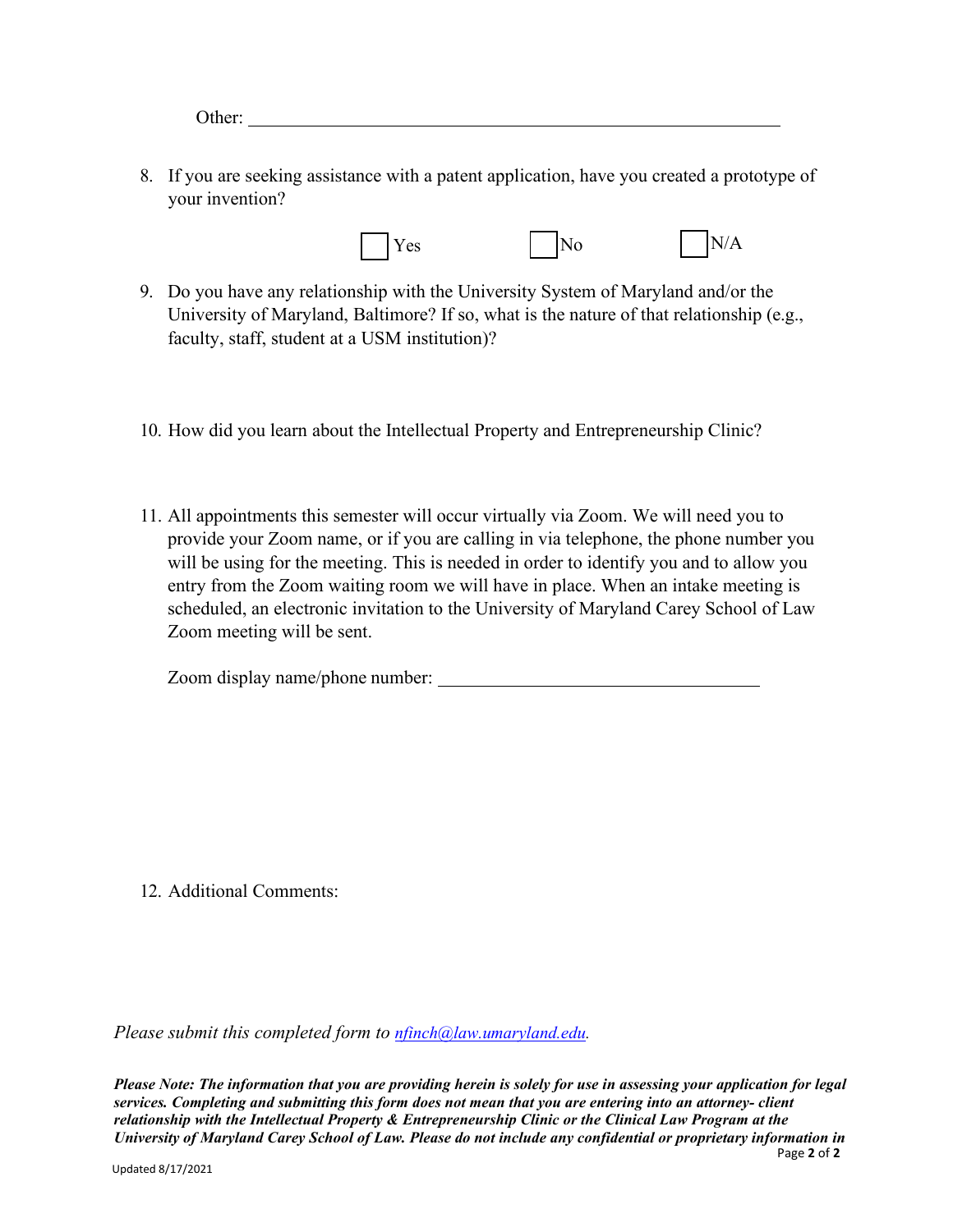Other:

8. If you are seeking assistance with a patent application, have you created a prototype of your invention?



- 9. Do you have any relationship with the University System of Maryland and/or the University of Maryland, Baltimore? If so, what is the nature of that relationship (e.g., faculty, staff, student at a USM institution)?
- 10. How did you learn about the Intellectual Property and Entrepreneurship Clinic?
- 11. All appointments this semester will occur virtually via Zoom. We will need you to provide your Zoom name, or if you are calling in via telephone, the phone number you will be using for the meeting. This is needed in order to identify you and to allow you entry from the Zoom waiting room we will have in place. When an intake meeting is scheduled, an electronic invitation to the University of Maryland Carey School of Law Zoom meeting will be sent.

Zoom display name/phone number:

12. Additional Comments:

*Please submit this completed form to [nfinch@law.umaryland.edu.](mailto:nfinch@law.umaryland.edu)*

Page **2** of **2** *Please Note: The information that you are providing herein is solely for use in assessing your application for legal services. Completing and submitting this form does not mean that you are entering into an attorney- client relationship with the Intellectual Property & Entrepreneurship Clinic or the Clinical Law Program at the University of Maryland Carey School of Law. Please do not include any confidential or proprietary information in*